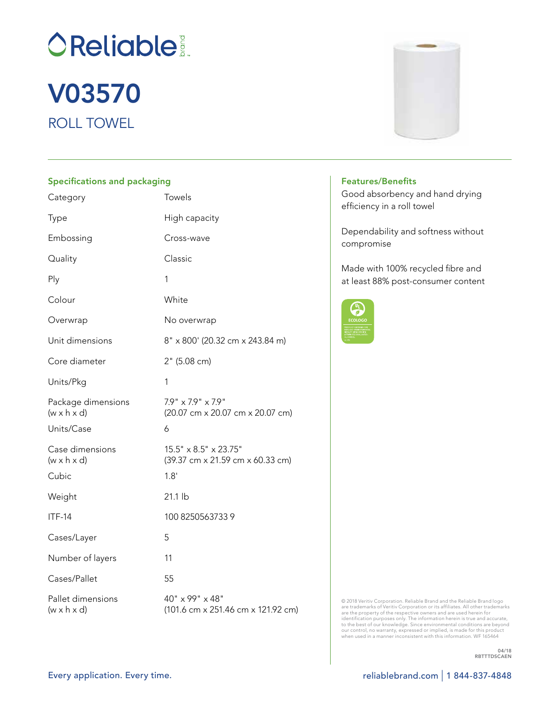# **OReliable:**

### ROLL TOWEL V03570

### Specifications and packaging

| Category                                      | Towels                                                                   |
|-----------------------------------------------|--------------------------------------------------------------------------|
| <b>Type</b>                                   | High capacity                                                            |
| Embossing                                     | Cross-wave                                                               |
| Quality                                       | Classic                                                                  |
| Ply                                           | 1                                                                        |
| Colour                                        | White                                                                    |
| Overwrap                                      | No overwrap                                                              |
| Unit dimensions                               | 8" x 800' (20.32 cm x 243.84 m)                                          |
| Core diameter                                 | 2" (5.08 cm)                                                             |
| Units/Pkg                                     | 1                                                                        |
| Package dimensions<br>$(w \times h \times d)$ | $7.9" \times 7.9" \times 7.9"$<br>(20.07 cm x 20.07 cm x 20.07 cm)       |
| Units/Case                                    | 6                                                                        |
| Case dimensions<br>$(w \times h \times d)$    | $15.5'' \times 8.5'' \times 23.75''$<br>(39.37 cm x 21.59 cm x 60.33 cm) |
| Cubic                                         | 1.8'                                                                     |
| Weight                                        | 21.1 lb                                                                  |
| <b>ITF-14</b>                                 | 100 8250563733 9                                                         |
| Cases/Layer                                   | 5                                                                        |
| Number of layers                              | 11                                                                       |
| Cases/Pallet                                  | 55                                                                       |
| Pallet dimensions<br>$(w \times h \times d)$  | 40" x 99" x 48"<br>(101.6 cm x 251.46 cm x 121.92 cm)                    |



#### Features/Benefits

Good absorbency and hand drying efficiency in a roll towel

Dependability and softness without compromise

Made with 100% recycled fibre and at least 88% post-consumer content



© 2018 Veritiv Corporation. Reliable Brand and the Reliable Brand logo<br>are trademarks of Veritiv Corporation or its affiliates. All other trademarks<br>are the property of the respective owners and are used herein for<br>identif to the best of our knowledge. Since environmental conditions are beyond<br>our control, no warranty, expressed or implied, is made for this product<br>when used in a manner inconsistent with this information. WF 165464

> 04/18 RBTTTDSCAEN